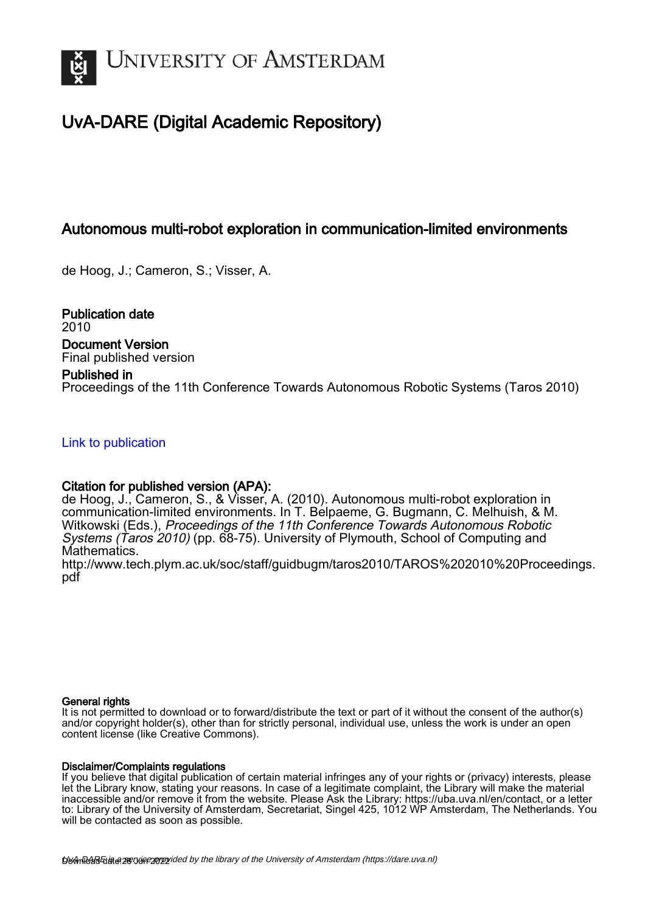

# UvA-DARE (Digital Academic Repository)

# Autonomous multi-robot exploration in communication-limited environments

de Hoog, J.; Cameron, S.; Visser, A.

Publication date 2010 Document Version Final published version

## Published in

Proceedings of the 11th Conference Towards Autonomous Robotic Systems (Taros 2010)

# [Link to publication](https://dare.uva.nl/personal/pure/en/publications/autonomous-multirobot-exploration-in-communicationlimited-environments(55bba1d3-d3c5-4145-ac40-552a49cd59c6).html)

# Citation for published version (APA):

de Hoog, J., Cameron, S., & Visser, A. (2010). Autonomous multi-robot exploration in communication-limited environments. In T. Belpaeme, G. Bugmann, C. Melhuish, & M. Witkowski (Eds.), Proceedings of the 11th Conference Towards Autonomous Robotic Systems (Taros 2010) (pp. 68-75). University of Plymouth, School of Computing and Mathematics.

[http://www.tech.plym.ac.uk/soc/staff/guidbugm/taros2010/TAROS%202010%20Proceedings.](http://www.tech.plym.ac.uk/soc/staff/guidbugm/taros2010/TAROS%202010%20Proceedings.pdf) [pdf](http://www.tech.plym.ac.uk/soc/staff/guidbugm/taros2010/TAROS%202010%20Proceedings.pdf)

## General rights

It is not permitted to download or to forward/distribute the text or part of it without the consent of the author(s) and/or copyright holder(s), other than for strictly personal, individual use, unless the work is under an open content license (like Creative Commons).

## Disclaimer/Complaints regulations

If you believe that digital publication of certain material infringes any of your rights or (privacy) interests, please let the Library know, stating your reasons. In case of a legitimate complaint, the Library will make the material inaccessible and/or remove it from the website. Please Ask the Library: https://uba.uva.nl/en/contact, or a letter to: Library of the University of Amsterdam, Secretariat, Singel 425, 1012 WP Amsterdam, The Netherlands. You will be contacted as soon as possible.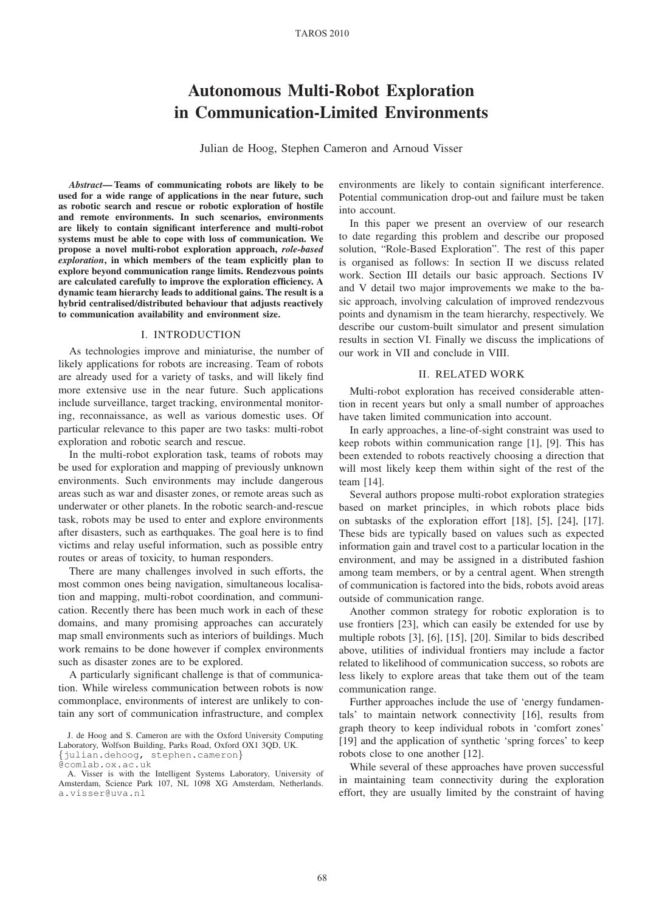# Autonomous Multi-Robot Exploration in Communication-Limited Environments

Julian de Hoog, Stephen Cameron and Arnoud Visser

*Abstract*— Teams of communicating robots are likely to be used for a wide range of applications in the near future, such as robotic search and rescue or robotic exploration of hostile and remote environments. In such scenarios, environments are likely to contain significant interference and multi-robot systems must be able to cope with loss of communication. We propose a novel multi-robot exploration approach, *role-based exploration*, in which members of the team explicitly plan to explore beyond communication range limits. Rendezvous points are calculated carefully to improve the exploration efficiency. A dynamic team hierarchy leads to additional gains. The result is a hybrid centralised/distributed behaviour that adjusts reactively to communication availability and environment size.

#### I. INTRODUCTION

As technologies improve and miniaturise, the number of likely applications for robots are increasing. Team of robots are already used for a variety of tasks, and will likely find more extensive use in the near future. Such applications include surveillance, target tracking, environmental monitoring, reconnaissance, as well as various domestic uses. Of particular relevance to this paper are two tasks: multi-robot exploration and robotic search and rescue.

In the multi-robot exploration task, teams of robots may be used for exploration and mapping of previously unknown environments. Such environments may include dangerous areas such as war and disaster zones, or remote areas such as underwater or other planets. In the robotic search-and-rescue task, robots may be used to enter and explore environments after disasters, such as earthquakes. The goal here is to find victims and relay useful information, such as possible entry routes or areas of toxicity, to human responders.

There are many challenges involved in such efforts, the most common ones being navigation, simultaneous localisation and mapping, multi-robot coordination, and communication. Recently there has been much work in each of these domains, and many promising approaches can accurately map small environments such as interiors of buildings. Much work remains to be done however if complex environments such as disaster zones are to be explored.

A particularly significant challenge is that of communication. While wireless communication between robots is now commonplace, environments of interest are unlikely to contain any sort of communication infrastructure, and complex

environments are likely to contain significant interference. Potential communication drop-out and failure must be taken into account.

In this paper we present an overview of our research to date regarding this problem and describe our proposed solution, "Role-Based Exploration". The rest of this paper is organised as follows: In section II we discuss related work. Section III details our basic approach. Sections IV and V detail two major improvements we make to the basic approach, involving calculation of improved rendezvous points and dynamism in the team hierarchy, respectively. We describe our custom-built simulator and present simulation results in section VI. Finally we discuss the implications of our work in VII and conclude in VIII.

### II. RELATED WORK

Multi-robot exploration has received considerable attention in recent years but only a small number of approaches have taken limited communication into account.

In early approaches, a line-of-sight constraint was used to keep robots within communication range [1], [9]. This has been extended to robots reactively choosing a direction that will most likely keep them within sight of the rest of the team [14].

Several authors propose multi-robot exploration strategies based on market principles, in which robots place bids on subtasks of the exploration effort [18], [5], [24], [17]. These bids are typically based on values such as expected information gain and travel cost to a particular location in the environment, and may be assigned in a distributed fashion among team members, or by a central agent. When strength of communication is factored into the bids, robots avoid areas outside of communication range.

Another common strategy for robotic exploration is to use frontiers [23], which can easily be extended for use by multiple robots [3], [6], [15], [20]. Similar to bids described above, utilities of individual frontiers may include a factor related to likelihood of communication success, so robots are less likely to explore areas that take them out of the team communication range.

Further approaches include the use of 'energy fundamentals' to maintain network connectivity [16], results from graph theory to keep individual robots in 'comfort zones' [19] and the application of synthetic 'spring forces' to keep robots close to one another [12].

While several of these approaches have proven successful in maintaining team connectivity during the exploration effort, they are usually limited by the constraint of having

J. de Hoog and S. Cameron are with the Oxford University Computing Laboratory, Wolfson Building, Parks Road, Oxford OX1 3QD, UK.

<sup>{</sup>julian.dehoog, stephen.cameron}

<sup>@</sup>comlab.ox.ac.uk A. Visser is with the Intelligent Systems Laboratory, University of Amsterdam, Science Park 107, NL 1098 XG Amsterdam, Netherlands. a.visser@uva.nl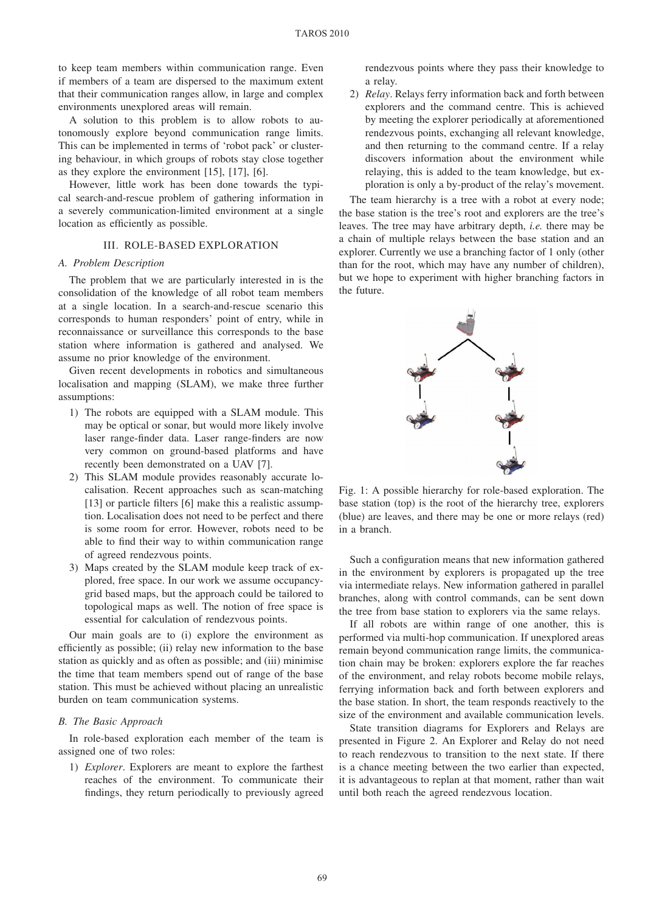to keep team members within communication range. Even if members of a team are dispersed to the maximum extent that their communication ranges allow, in large and complex environments unexplored areas will remain.

A solution to this problem is to allow robots to autonomously explore beyond communication range limits. This can be implemented in terms of 'robot pack' or clustering behaviour, in which groups of robots stay close together as they explore the environment [15], [17], [6].

However, little work has been done towards the typical search-and-rescue problem of gathering information in a severely communication-limited environment at a single location as efficiently as possible.

#### III. ROLE-BASED EXPLORATION

#### *A. Problem Description*

The problem that we are particularly interested in is the consolidation of the knowledge of all robot team members at a single location. In a search-and-rescue scenario this corresponds to human responders' point of entry, while in reconnaissance or surveillance this corresponds to the base station where information is gathered and analysed. We assume no prior knowledge of the environment.

Given recent developments in robotics and simultaneous localisation and mapping (SLAM), we make three further assumptions:

- 1) The robots are equipped with a SLAM module. This may be optical or sonar, but would more likely involve laser range-finder data. Laser range-finders are now very common on ground-based platforms and have recently been demonstrated on a UAV [7].
- 2) This SLAM module provides reasonably accurate localisation. Recent approaches such as scan-matching [13] or particle filters [6] make this a realistic assumption. Localisation does not need to be perfect and there is some room for error. However, robots need to be able to find their way to within communication range of agreed rendezvous points.
- 3) Maps created by the SLAM module keep track of explored, free space. In our work we assume occupancygrid based maps, but the approach could be tailored to topological maps as well. The notion of free space is essential for calculation of rendezvous points.

Our main goals are to (i) explore the environment as efficiently as possible; (ii) relay new information to the base station as quickly and as often as possible; and (iii) minimise the time that team members spend out of range of the base station. This must be achieved without placing an unrealistic burden on team communication systems.

### *B. The Basic Approach*

In role-based exploration each member of the team is assigned one of two roles:

1) *Explorer*. Explorers are meant to explore the farthest reaches of the environment. To communicate their findings, they return periodically to previously agreed rendezvous points where they pass their knowledge to a relay.

2) *Relay*. Relays ferry information back and forth between explorers and the command centre. This is achieved by meeting the explorer periodically at aforementioned rendezvous points, exchanging all relevant knowledge, and then returning to the command centre. If a relay discovers information about the environment while relaying, this is added to the team knowledge, but exploration is only a by-product of the relay's movement.

The team hierarchy is a tree with a robot at every node; the base station is the tree's root and explorers are the tree's leaves. The tree may have arbitrary depth, *i.e.* there may be a chain of multiple relays between the base station and an explorer. Currently we use a branching factor of 1 only (other than for the root, which may have any number of children), but we hope to experiment with higher branching factors in the future.



Fig. 1: A possible hierarchy for role-based exploration. The base station (top) is the root of the hierarchy tree, explorers (blue) are leaves, and there may be one or more relays (red) in a branch.

Such a configuration means that new information gathered in the environment by explorers is propagated up the tree via intermediate relays. New information gathered in parallel branches, along with control commands, can be sent down the tree from base station to explorers via the same relays.

If all robots are within range of one another, this is performed via multi-hop communication. If unexplored areas remain beyond communication range limits, the communication chain may be broken: explorers explore the far reaches of the environment, and relay robots become mobile relays, ferrying information back and forth between explorers and the base station. In short, the team responds reactively to the size of the environment and available communication levels.

State transition diagrams for Explorers and Relays are presented in Figure 2. An Explorer and Relay do not need to reach rendezvous to transition to the next state. If there is a chance meeting between the two earlier than expected, it is advantageous to replan at that moment, rather than wait until both reach the agreed rendezvous location.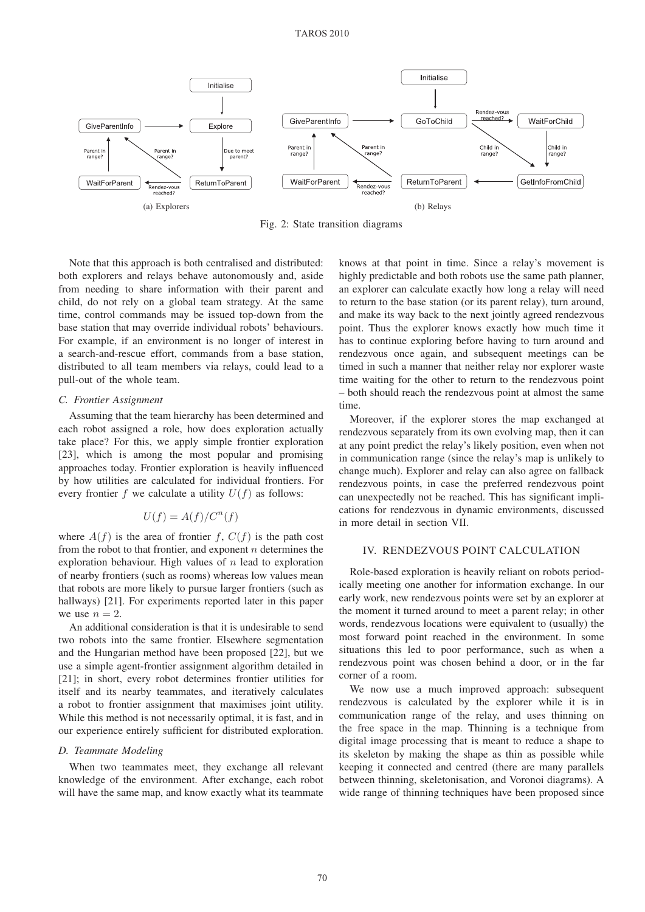

Fig. 2: State transition diagrams

Note that this approach is both centralised and distributed: both explorers and relays behave autonomously and, aside from needing to share information with their parent and child, do not rely on a global team strategy. At the same time, control commands may be issued top-down from the base station that may override individual robots' behaviours. For example, if an environment is no longer of interest in a search-and-rescue effort, commands from a base station, distributed to all team members via relays, could lead to a pull-out of the whole team.

#### *C. Frontier Assignment*

Assuming that the team hierarchy has been determined and each robot assigned a role, how does exploration actually take place? For this, we apply simple frontier exploration [23], which is among the most popular and promising approaches today. Frontier exploration is heavily influenced by how utilities are calculated for individual frontiers. For every frontier f we calculate a utility  $U(f)$  as follows:

## $U(f) = A(f)/C^n(f)$

where  $A(f)$  is the area of frontier f,  $C(f)$  is the path cost from the robot to that frontier, and exponent  $n$  determines the exploration behaviour. High values of  $n$  lead to exploration of nearby frontiers (such as rooms) whereas low values mean that robots are more likely to pursue larger frontiers (such as hallways) [21]. For experiments reported later in this paper we use  $n = 2$ .

An additional consideration is that it is undesirable to send two robots into the same frontier. Elsewhere segmentation and the Hungarian method have been proposed [22], but we use a simple agent-frontier assignment algorithm detailed in [21]; in short, every robot determines frontier utilities for itself and its nearby teammates, and iteratively calculates a robot to frontier assignment that maximises joint utility. While this method is not necessarily optimal, it is fast, and in our experience entirely sufficient for distributed exploration.

#### *D. Teammate Modeling*

When two teammates meet, they exchange all relevant knowledge of the environment. After exchange, each robot will have the same map, and know exactly what its teammate

knows at that point in time. Since a relay's movement is highly predictable and both robots use the same path planner, an explorer can calculate exactly how long a relay will need to return to the base station (or its parent relay), turn around, and make its way back to the next jointly agreed rendezvous point. Thus the explorer knows exactly how much time it has to continue exploring before having to turn around and rendezvous once again, and subsequent meetings can be timed in such a manner that neither relay nor explorer waste time waiting for the other to return to the rendezvous point – both should reach the rendezvous point at almost the same time.

Moreover, if the explorer stores the map exchanged at rendezvous separately from its own evolving map, then it can at any point predict the relay's likely position, even when not in communication range (since the relay's map is unlikely to change much). Explorer and relay can also agree on fallback rendezvous points, in case the preferred rendezvous point can unexpectedly not be reached. This has significant implications for rendezvous in dynamic environments, discussed in more detail in section VII.

#### IV. RENDEZVOUS POINT CALCULATION

Role-based exploration is heavily reliant on robots periodically meeting one another for information exchange. In our early work, new rendezvous points were set by an explorer at the moment it turned around to meet a parent relay; in other words, rendezvous locations were equivalent to (usually) the most forward point reached in the environment. In some situations this led to poor performance, such as when a rendezvous point was chosen behind a door, or in the far corner of a room.

We now use a much improved approach: subsequent rendezvous is calculated by the explorer while it is in communication range of the relay, and uses thinning on the free space in the map. Thinning is a technique from digital image processing that is meant to reduce a shape to its skeleton by making the shape as thin as possible while keeping it connected and centred (there are many parallels between thinning, skeletonisation, and Voronoi diagrams). A wide range of thinning techniques have been proposed since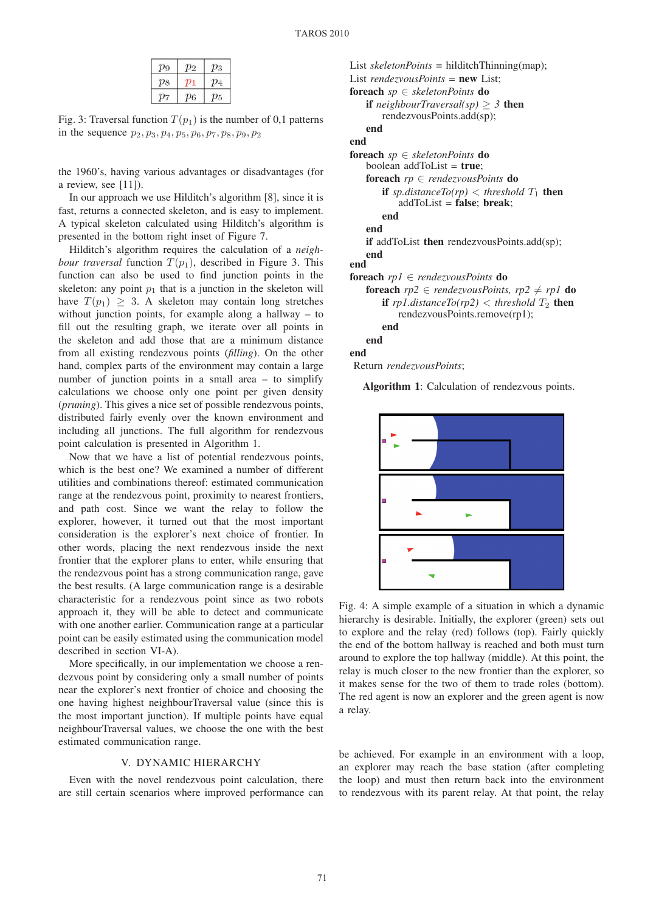| $\mathcal{D}^{\alpha}$ |    | Ο3  |
|------------------------|----|-----|
| $p_8$                  |    | D 4 |
|                        | 96 |     |

Fig. 3: Traversal function  $T(p_1)$  is the number of 0,1 patterns in the sequence  $p_2, p_3, p_4, p_5, p_6, p_7, p_8, p_9, p_2$ 

the 1960's, having various advantages or disadvantages (for a review, see [11]).

In our approach we use Hilditch's algorithm [8], since it is fast, returns a connected skeleton, and is easy to implement. A typical skeleton calculated using Hilditch's algorithm is presented in the bottom right inset of Figure 7.

Hilditch's algorithm requires the calculation of a *neighbour traversal* function  $T(p_1)$ , described in Figure 3. This function can also be used to find junction points in the skeleton: any point  $p_1$  that is a junction in the skeleton will have  $T(p_1) \geq 3$ . A skeleton may contain long stretches without junction points, for example along a hallway – to fill out the resulting graph, we iterate over all points in the skeleton and add those that are a minimum distance from all existing rendezvous points (*filling*). On the other hand, complex parts of the environment may contain a large number of junction points in a small area – to simplify calculations we choose only one point per given density (*pruning*). This gives a nice set of possible rendezvous points, distributed fairly evenly over the known environment and including all junctions. The full algorithm for rendezvous point calculation is presented in Algorithm 1.

Now that we have a list of potential rendezvous points, which is the best one? We examined a number of different utilities and combinations thereof: estimated communication range at the rendezvous point, proximity to nearest frontiers, and path cost. Since we want the relay to follow the explorer, however, it turned out that the most important consideration is the explorer's next choice of frontier. In other words, placing the next rendezvous inside the next frontier that the explorer plans to enter, while ensuring that the rendezvous point has a strong communication range, gave the best results. (A large communication range is a desirable characteristic for a rendezvous point since as two robots approach it, they will be able to detect and communicate with one another earlier. Communication range at a particular point can be easily estimated using the communication model described in section VI-A).

More specifically, in our implementation we choose a rendezvous point by considering only a small number of points near the explorer's next frontier of choice and choosing the one having highest neighbourTraversal value (since this is the most important junction). If multiple points have equal neighbourTraversal values, we choose the one with the best estimated communication range.

### V. DYNAMIC HIERARCHY

Even with the novel rendezvous point calculation, there are still certain scenarios where improved performance can

```
List skeletonPoints = hilditchThinning(map);
List rendezvousPoints = new List;
foreach sp ∈ skeletonPoints do
   if neighborTraversal(sp) > 3 then
       rendezvousPoints.add(sp);
   end
end
foreach sp ∈ skeletonPoints do
   boolean addToList = true;
   foreach rp ∈ rendezvousPoints do
       if sp.distanceTo(rp) \lt threshold T_1 then
           addToList = false; break;end
   end
   if addToList then rendezvousPoints.add(sp);
   end
end
foreach rp1 ∈ rendezvousPoints do
   foreach rp2 \in \text{rendezvousPoints}, rp2 \neq rp1 do
       if rp1distanceTo(rp2) \lt threshold T_2 then
          rendezvousPoints.remove(rp1);
       end
   end
end
Return rendezvousPoints;
```
Algorithm 1: Calculation of rendezvous points.



Fig. 4: A simple example of a situation in which a dynamic hierarchy is desirable. Initially, the explorer (green) sets out to explore and the relay (red) follows (top). Fairly quickly the end of the bottom hallway is reached and both must turn around to explore the top hallway (middle). At this point, the relay is much closer to the new frontier than the explorer, so it makes sense for the two of them to trade roles (bottom). The red agent is now an explorer and the green agent is now a relay.

be achieved. For example in an environment with a loop, an explorer may reach the base station (after completing the loop) and must then return back into the environment to rendezvous with its parent relay. At that point, the relay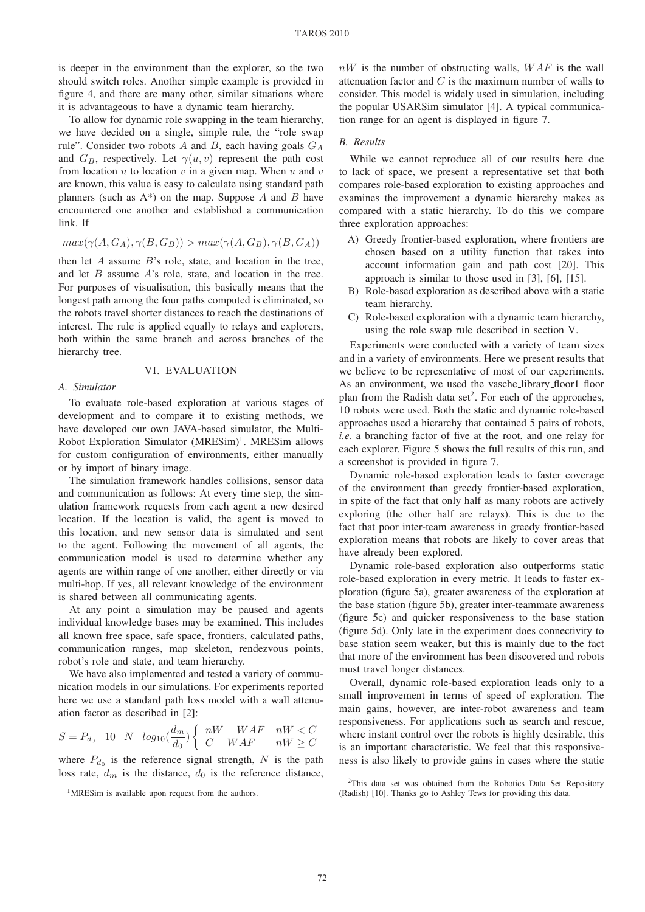is deeper in the environment than the explorer, so the two should switch roles. Another simple example is provided in figure 4, and there are many other, similar situations where it is advantageous to have a dynamic team hierarchy.

To allow for dynamic role swapping in the team hierarchy, we have decided on a single, simple rule, the "role swap rule". Consider two robots A and B, each having goals  $G_A$ and  $G_B$ , respectively. Let  $\gamma(u, v)$  represent the path cost from location  $u$  to location  $v$  in a given map. When  $u$  and  $v$ are known, this value is easy to calculate using standard path planners (such as  $A^*$ ) on the map. Suppose A and B have encountered one another and established a communication link. If

$$
max(\gamma(A, G_A), \gamma(B, G_B)) > max(\gamma(A, G_B), \gamma(B, G_A))
$$

then let  $A$  assume  $B$ 's role, state, and location in the tree, and let  $B$  assume  $A$ 's role, state, and location in the tree. For purposes of visualisation, this basically means that the longest path among the four paths computed is eliminated, so the robots travel shorter distances to reach the destinations of interest. The rule is applied equally to relays and explorers, both within the same branch and across branches of the hierarchy tree.

#### VI. EVALUATION

#### *A. Simulator*

To evaluate role-based exploration at various stages of development and to compare it to existing methods, we have developed our own JAVA-based simulator, the Multi-Robot Exploration Simulator (MRESim)<sup>1</sup>. MRESim allows for custom configuration of environments, either manually or by import of binary image.

The simulation framework handles collisions, sensor data and communication as follows: At every time step, the simulation framework requests from each agent a new desired location. If the location is valid, the agent is moved to this location, and new sensor data is simulated and sent to the agent. Following the movement of all agents, the communication model is used to determine whether any agents are within range of one another, either directly or via multi-hop. If yes, all relevant knowledge of the environment is shared between all communicating agents.

At any point a simulation may be paused and agents individual knowledge bases may be examined. This includes all known free space, safe space, frontiers, calculated paths, communication ranges, map skeleton, rendezvous points, robot's role and state, and team hierarchy.

We have also implemented and tested a variety of communication models in our simulations. For experiments reported here we use a standard path loss model with a wall attenuation factor as described in [2]:

$$
S = P_{d_0} \quad 10 \quad N \quad log_{10}\left(\frac{d_m}{d_0}\right) \left\{ \begin{array}{ll} nW & WAF & nW < C \\ C & WAF & nW \ge C \end{array} \right.
$$

where  $P_{d_0}$  is the reference signal strength, N is the path loss rate,  $d_m$  is the distance,  $d_0$  is the reference distance,

 $nW$  is the number of obstructing walls,  $WAF$  is the wall attenuation factor and  $C$  is the maximum number of walls to consider. This model is widely used in simulation, including the popular USARSim simulator [4]. A typical communication range for an agent is displayed in figure 7.

#### *B. Results*

While we cannot reproduce all of our results here due to lack of space, we present a representative set that both compares role-based exploration to existing approaches and examines the improvement a dynamic hierarchy makes as compared with a static hierarchy. To do this we compare three exploration approaches:

- A) Greedy frontier-based exploration, where frontiers are chosen based on a utility function that takes into account information gain and path cost [20]. This approach is similar to those used in [3], [6], [15].
- B) Role-based exploration as described above with a static team hierarchy.
- C) Role-based exploration with a dynamic team hierarchy, using the role swap rule described in section V.

Experiments were conducted with a variety of team sizes and in a variety of environments. Here we present results that we believe to be representative of most of our experiments. As an environment, we used the vasche\_library\_floor1 floor plan from the Radish data set<sup>2</sup>. For each of the approaches, 10 robots were used. Both the static and dynamic role-based approaches used a hierarchy that contained 5 pairs of robots, *i.e.* a branching factor of five at the root, and one relay for each explorer. Figure 5 shows the full results of this run, and a screenshot is provided in figure 7.

Dynamic role-based exploration leads to faster coverage of the environment than greedy frontier-based exploration, in spite of the fact that only half as many robots are actively exploring (the other half are relays). This is due to the fact that poor inter-team awareness in greedy frontier-based exploration means that robots are likely to cover areas that have already been explored.

Dynamic role-based exploration also outperforms static role-based exploration in every metric. It leads to faster exploration (figure 5a), greater awareness of the exploration at the base station (figure 5b), greater inter-teammate awareness (figure 5c) and quicker responsiveness to the base station (figure 5d). Only late in the experiment does connectivity to base station seem weaker, but this is mainly due to the fact that more of the environment has been discovered and robots must travel longer distances.

Overall, dynamic role-based exploration leads only to a small improvement in terms of speed of exploration. The main gains, however, are inter-robot awareness and team responsiveness. For applications such as search and rescue, where instant control over the robots is highly desirable, this is an important characteristic. We feel that this responsiveness is also likely to provide gains in cases where the static

<sup>&</sup>lt;sup>1</sup>MRESim is available upon request from the authors.

<sup>&</sup>lt;sup>2</sup>This data set was obtained from the Robotics Data Set Repository (Radish) [10]. Thanks go to Ashley Tews for providing this data.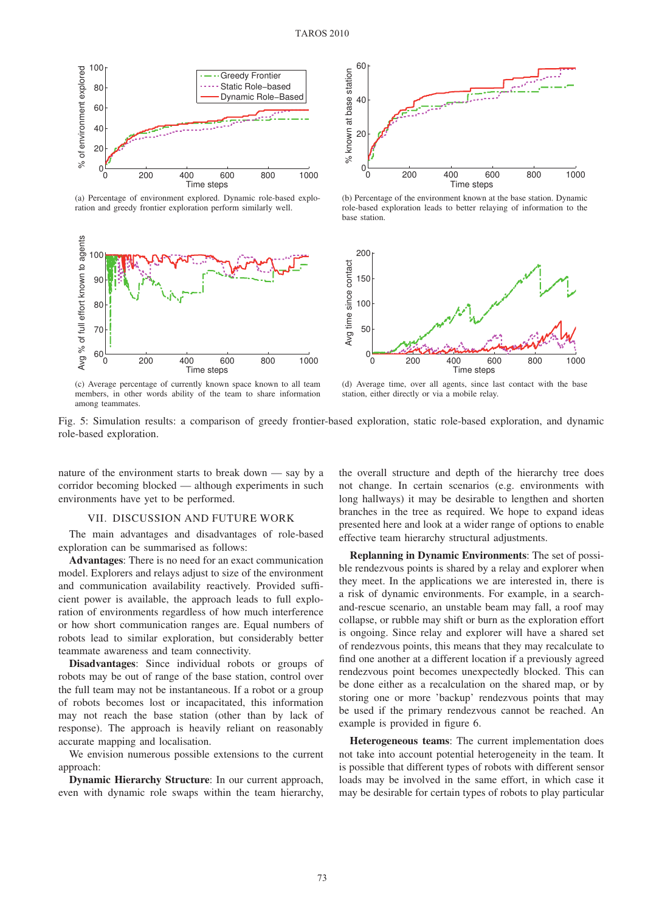

(a) Percentage of environment explored. Dynamic role-based exploration and greedy frontier exploration perform similarly well.





(b) Percentage of the environment known at the base station. Dynamic role-based exploration leads to better relaying of information to the base station.



(c) Average percentage of currently known space known to all team members, in other words ability of the team to share information among teammates.

(d) Average time, over all agents, since last contact with the base station, either directly or via a mobile relay.

Fig. 5: Simulation results: a comparison of greedy frontier-based exploration, static role-based exploration, and dynamic role-based exploration.

nature of the environment starts to break down — say by a corridor becoming blocked — although experiments in such environments have yet to be performed.

#### VII. DISCUSSION AND FUTURE WORK

The main advantages and disadvantages of role-based exploration can be summarised as follows:

Advantages: There is no need for an exact communication model. Explorers and relays adjust to size of the environment and communication availability reactively. Provided sufficient power is available, the approach leads to full exploration of environments regardless of how much interference or how short communication ranges are. Equal numbers of robots lead to similar exploration, but considerably better teammate awareness and team connectivity.

Disadvantages: Since individual robots or groups of robots may be out of range of the base station, control over the full team may not be instantaneous. If a robot or a group of robots becomes lost or incapacitated, this information may not reach the base station (other than by lack of response). The approach is heavily reliant on reasonably accurate mapping and localisation.

We envision numerous possible extensions to the current approach:

Dynamic Hierarchy Structure: In our current approach, even with dynamic role swaps within the team hierarchy,

the overall structure and depth of the hierarchy tree does not change. In certain scenarios (e.g. environments with long hallways) it may be desirable to lengthen and shorten branches in the tree as required. We hope to expand ideas presented here and look at a wider range of options to enable effective team hierarchy structural adjustments.

Replanning in Dynamic Environments: The set of possible rendezvous points is shared by a relay and explorer when they meet. In the applications we are interested in, there is a risk of dynamic environments. For example, in a searchand-rescue scenario, an unstable beam may fall, a roof may collapse, or rubble may shift or burn as the exploration effort is ongoing. Since relay and explorer will have a shared set of rendezvous points, this means that they may recalculate to find one another at a different location if a previously agreed rendezvous point becomes unexpectedly blocked. This can be done either as a recalculation on the shared map, or by storing one or more 'backup' rendezvous points that may be used if the primary rendezvous cannot be reached. An example is provided in figure 6.

Heterogeneous teams: The current implementation does not take into account potential heterogeneity in the team. It is possible that different types of robots with different sensor loads may be involved in the same effort, in which case it may be desirable for certain types of robots to play particular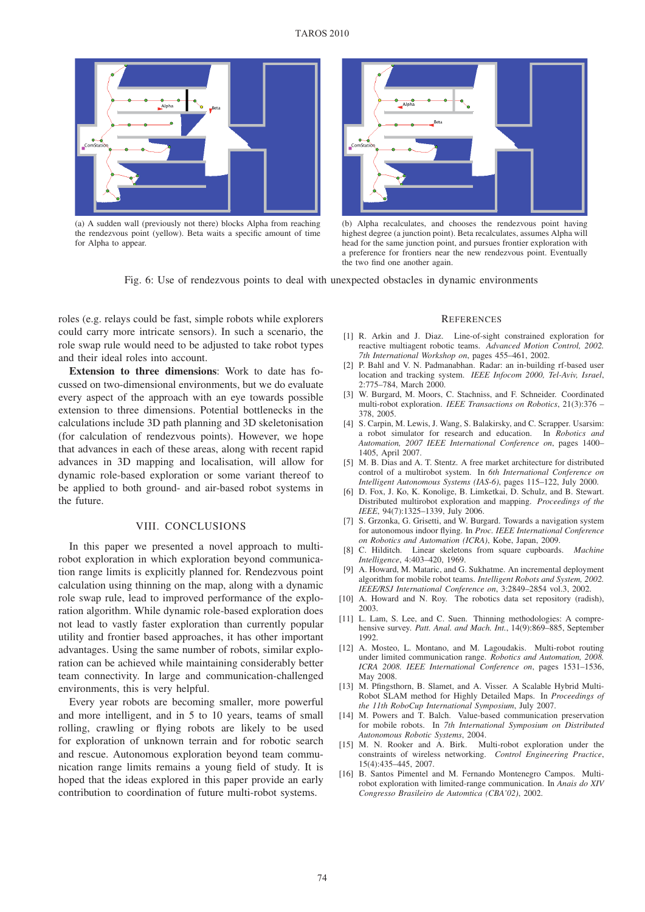#### TAROS 2010



(a) A sudden wall (previously not there) blocks Alpha from reaching the rendezvous point (yellow). Beta waits a specific amount of time for Alpha to appear.



(b) Alpha recalculates, and chooses the rendezvous point having highest degree (a junction point). Beta recalculates, assumes Alpha will head for the same junction point, and pursues frontier exploration with a preference for frontiers near the new rendezvous point. Eventually the two find one another again.

Fig. 6: Use of rendezvous points to deal with unexpected obstacles in dynamic environments

roles (e.g. relays could be fast, simple robots while explorers could carry more intricate sensors). In such a scenario, the role swap rule would need to be adjusted to take robot types and their ideal roles into account.

Extension to three dimensions: Work to date has focussed on two-dimensional environments, but we do evaluate every aspect of the approach with an eye towards possible extension to three dimensions. Potential bottlenecks in the calculations include 3D path planning and 3D skeletonisation (for calculation of rendezvous points). However, we hope that advances in each of these areas, along with recent rapid advances in 3D mapping and localisation, will allow for dynamic role-based exploration or some variant thereof to be applied to both ground- and air-based robot systems in the future.

### VIII. CONCLUSIONS

In this paper we presented a novel approach to multirobot exploration in which exploration beyond communication range limits is explicitly planned for. Rendezvous point calculation using thinning on the map, along with a dynamic role swap rule, lead to improved performance of the exploration algorithm. While dynamic role-based exploration does not lead to vastly faster exploration than currently popular utility and frontier based approaches, it has other important advantages. Using the same number of robots, similar exploration can be achieved while maintaining considerably better team connectivity. In large and communication-challenged environments, this is very helpful.

Every year robots are becoming smaller, more powerful and more intelligent, and in 5 to 10 years, teams of small rolling, crawling or flying robots are likely to be used for exploration of unknown terrain and for robotic search and rescue. Autonomous exploration beyond team communication range limits remains a young field of study. It is hoped that the ideas explored in this paper provide an early contribution to coordination of future multi-robot systems.

#### **REFERENCES**

- [1] R. Arkin and J. Diaz. Line-of-sight constrained exploration for reactive multiagent robotic teams. *Advanced Motion Control, 2002. 7th International Workshop on*, pages 455–461, 2002.
- [2] P. Bahl and V. N. Padmanabhan. Radar: an in-building rf-based user location and tracking system. *IEEE Infocom 2000, Tel-Aviv, Israel*, 2:775–784, March 2000.
- [3] W. Burgard, M. Moors, C. Stachniss, and F. Schneider. Coordinated multi-robot exploration. *IEEE Transactions on Robotics*, 21(3):376 – 378, 2005.
- [4] S. Carpin, M. Lewis, J. Wang, S. Balakirsky, and C. Scrapper. Usarsim: a robot simulator for research and education. In *Robotics and Automation, 2007 IEEE International Conference on*, pages 1400– 1405, April 2007.
- [5] M. B. Dias and A. T. Stentz. A free market architecture for distributed control of a multirobot system. In *6th International Conference on Intelligent Autonomous Systems (IAS-6)*, pages 115–122, July 2000.
- [6] D. Fox, J. Ko, K. Konolige, B. Limketkai, D. Schulz, and B. Stewart. Distributed multirobot exploration and mapping. *Proceedings of the IEEE*, 94(7):1325–1339, July 2006.
- [7] S. Grzonka, G. Grisetti, and W. Burgard. Towards a navigation system for autonomous indoor flying. In *Proc. IEEE International Conference on Robotics and Automation (ICRA)*, Kobe, Japan, 2009.
- [8] C. Hilditch. Linear skeletons from square cupboards. *Machine Intelligence*, 4:403–420, 1969.
- [9] A. Howard, M. Mataric, and G. Sukhatme. An incremental deployment algorithm for mobile robot teams. *Intelligent Robots and System, 2002. IEEE/RSJ International Conference on*, 3:2849–2854 vol.3, 2002.
- [10] A. Howard and N. Roy. The robotics data set repository (radish), 2003.
- [11] L. Lam, S. Lee, and C. Suen. Thinning methodologies: A comprehensive survey. *Patt. Anal. and Mach. Int.*, 14(9):869–885, September 1992.
- [12] A. Mosteo, L. Montano, and M. Lagoudakis. Multi-robot routing under limited communication range. *Robotics and Automation, 2008. ICRA 2008. IEEE International Conference on*, pages 1531–1536, May 2008.
- [13] M. Pfingsthorn, B. Slamet, and A. Visser. A Scalable Hybrid Multi-Robot SLAM method for Highly Detailed Maps. In *Proceedings of the 11th RoboCup International Symposium*, July 2007.
- [14] M. Powers and T. Balch. Value-based communication preservation for mobile robots. In *7th International Symposium on Distributed Autonomous Robotic Systems*, 2004.
- [15] M. N. Rooker and A. Birk. Multi-robot exploration under the constraints of wireless networking. *Control Engineering Practice*, 15(4):435–445, 2007.
- [16] B. Santos Pimentel and M. Fernando Montenegro Campos. Multirobot exploration with limited-range communication. In *Anais do XIV Congresso Brasileiro de Automtica (CBA'02)*, 2002.